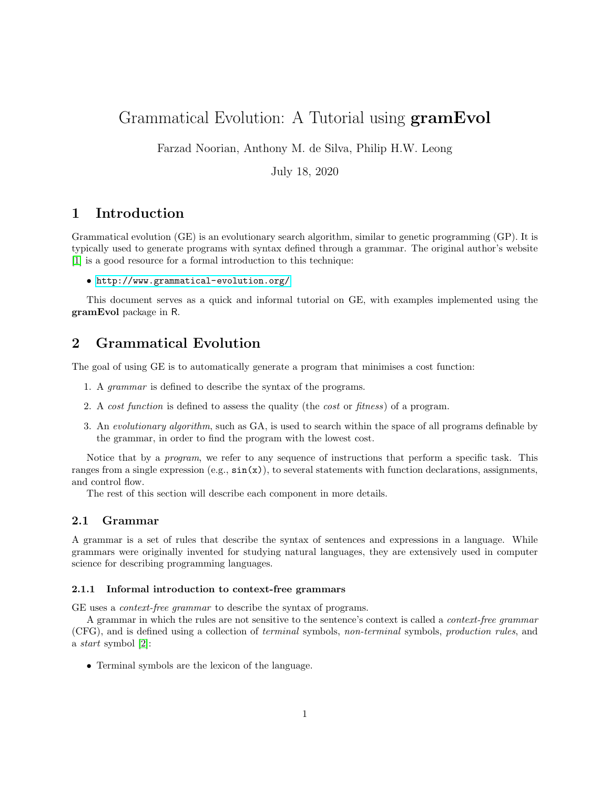# Grammatical Evolution: A Tutorial using gramEvol

Farzad Noorian, Anthony M. de Silva, Philip H.W. Leong

July 18, 2020

## 1 Introduction

Grammatical evolution (GE) is an evolutionary search algorithm, similar to genetic programming (GP). It is typically used to generate programs with syntax defined through a grammar. The original author's website [\[1\]](#page-16-0) is a good resource for a formal introduction to this technique:

• <http://www.grammatical-evolution.org/>

This document serves as a quick and informal tutorial on GE, with examples implemented using the gramEvol package in R.

## 2 Grammatical Evolution

The goal of using GE is to automatically generate a program that minimises a cost function:

- 1. A grammar is defined to describe the syntax of the programs.
- 2. A cost function is defined to assess the quality (the cost or fitness) of a program.
- 3. An evolutionary algorithm, such as GA, is used to search within the space of all programs definable by the grammar, in order to find the program with the lowest cost.

Notice that by a program, we refer to any sequence of instructions that perform a specific task. This ranges from a single expression  $(e.g., \sin(x))$ , to several statements with function declarations, assignments, and control flow.

The rest of this section will describe each component in more details.

## 2.1 Grammar

A grammar is a set of rules that describe the syntax of sentences and expressions in a language. While grammars were originally invented for studying natural languages, they are extensively used in computer science for describing programming languages.

#### <span id="page-0-0"></span>2.1.1 Informal introduction to context-free grammars

GE uses a context-free grammar to describe the syntax of programs.

A grammar in which the rules are not sensitive to the sentence's context is called a *context-free grammar* (CFG), and is defined using a collection of terminal symbols, non-terminal symbols, production rules, and a start symbol [\[2\]](#page-16-1):

• Terminal symbols are the lexicon of the language.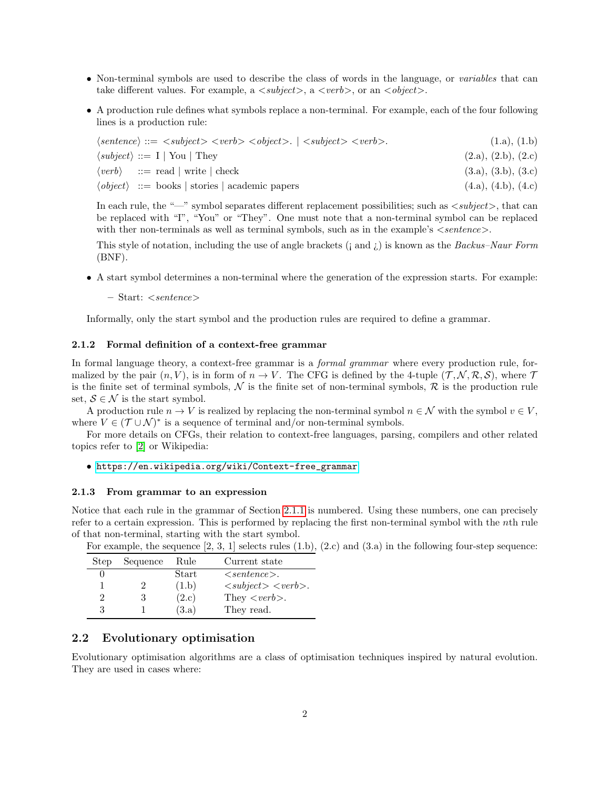- Non-terminal symbols are used to describe the class of words in the language, or variables that can take different values. For example, a  $\langle \textit{subject}\rangle$ , a  $\langle \textit{verb}\rangle$ , or an  $\langle \textit{object}\rangle$ .
- A production rule defines what symbols replace a non-terminal. For example, each of the four following lines is a production rule:

| $\langle sentence \rangle ::= \langle subject \rangle \langle verb \rangle \langle object \rangle$ . $  \langle subject \rangle \langle verb \rangle$ . | (1.a), (1.b)        |
|---------------------------------------------------------------------------------------------------------------------------------------------------------|---------------------|
| $\langle subject \rangle ::= I   \text{You}   \text{They}$                                                                                              | (2.a), (2.b), (2.c) |
| $\langle verb \rangle$ ::= read   write   check                                                                                                         | (3.a), (3.b), (3.c) |
| $\langle object \rangle$ ::= books   stories   academic papers                                                                                          | (4.a), (4.b), (4.c) |

In each rule, the "—" symbol separates different replacement possibilities; such as  $\langle\mathit{subject}\rangle$ , that can be replaced with "I", "You" or "They". One must note that a non-terminal symbol can be replaced with ther non-terminals as well as terminal symbols, such as in the example's  $\leq$  sentence  $>$ .

This style of notation, including the use of angle brackets  $(i \text{ and } i)$  is known as the *Backus–Naur Form* (BNF).

• A start symbol determines a non-terminal where the generation of the expression starts. For example:

– Start: <sentence>

Informally, only the start symbol and the production rules are required to define a grammar.

#### 2.1.2 Formal definition of a context-free grammar

In formal language theory, a context-free grammar is a *formal grammar* where every production rule, formalized by the pair  $(n, V)$ , is in form of  $n \to V$ . The CFG is defined by the 4-tuple  $(\mathcal{T}, \mathcal{N}, \mathcal{R}, \mathcal{S})$ , where  $\mathcal{T}$ is the finite set of terminal symbols,  $\mathcal N$  is the finite set of non-terminal symbols,  $\mathcal R$  is the production rule set,  $S \in \mathcal{N}$  is the start symbol.

A production rule  $n \to V$  is realized by replacing the non-terminal symbol  $n \in \mathcal{N}$  with the symbol  $v \in V$ , where  $V \in (\mathcal{T} \cup \mathcal{N})^*$  is a sequence of terminal and/or non-terminal symbols.

For more details on CFGs, their relation to context-free languages, parsing, compilers and other related topics refer to [\[2\]](#page-16-1) or Wikipedia:

• [https://en.wikipedia.org/wiki/Context-free\\_grammar](https://en.wikipedia.org/wiki/Context-free_grammar)

#### <span id="page-1-0"></span>2.1.3 From grammar to an expression

Notice that each rule in the grammar of Section [2.1.1](#page-0-0) is numbered. Using these numbers, one can precisely refer to a certain expression. This is performed by replacing the first non-terminal symbol with the nth rule of that non-terminal, starting with the start symbol.

| Step | Sequence | Rule  | Current state                                                    |
|------|----------|-------|------------------------------------------------------------------|
|      |          | Start | $\langle$ sentence $\rangle$ .                                   |
|      |          | (1.b) | $\langle\mathit{subject}\rangle$ $\langle\mathit{verb}\rangle$ . |
|      | 3        | (2.c) | They $\langle verb \rangle$ .                                    |
| 3    |          | (3.a) | They read.                                                       |

For example, the sequence  $[2, 3, 1]$  selects rules  $(1.b), (2.c)$  and  $(3.a)$  in the following four-step sequence:

## 2.2 Evolutionary optimisation

Evolutionary optimisation algorithms are a class of optimisation techniques inspired by natural evolution. They are used in cases where: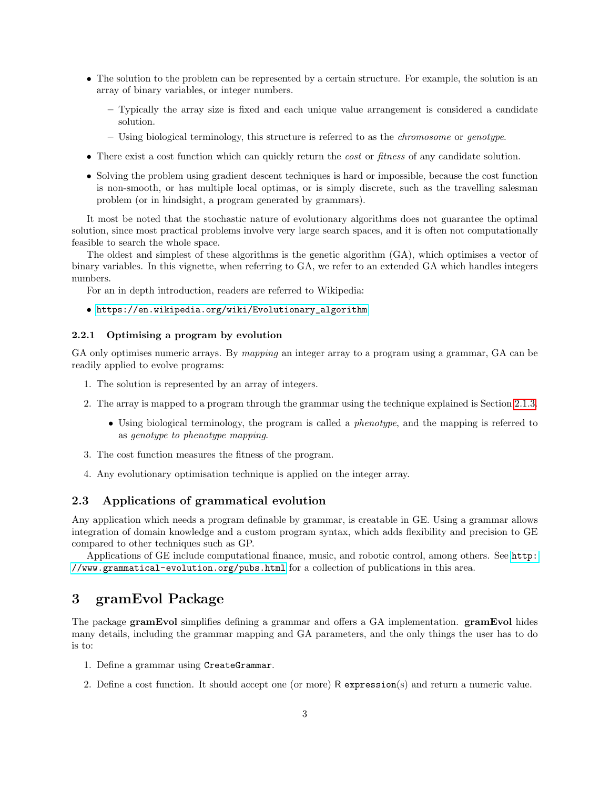- The solution to the problem can be represented by a certain structure. For example, the solution is an array of binary variables, or integer numbers.
	- Typically the array size is fixed and each unique value arrangement is considered a candidate solution.
	- Using biological terminology, this structure is referred to as the chromosome or genotype.
- There exist a cost function which can quickly return the *cost* or *fitness* of any candidate solution.
- Solving the problem using gradient descent techniques is hard or impossible, because the cost function is non-smooth, or has multiple local optimas, or is simply discrete, such as the travelling salesman problem (or in hindsight, a program generated by grammars).

It most be noted that the stochastic nature of evolutionary algorithms does not guarantee the optimal solution, since most practical problems involve very large search spaces, and it is often not computationally feasible to search the whole space.

The oldest and simplest of these algorithms is the genetic algorithm (GA), which optimises a vector of binary variables. In this vignette, when referring to GA, we refer to an extended GA which handles integers numbers.

For an in depth introduction, readers are referred to Wikipedia:

## • [https://en.wikipedia.org/wiki/Evolutionary\\_algorithm](https://en.wikipedia.org/wiki/Evolutionary_algorithm)

## 2.2.1 Optimising a program by evolution

GA only optimises numeric arrays. By *mapping* an integer array to a program using a grammar, GA can be readily applied to evolve programs:

- 1. The solution is represented by an array of integers.
- 2. The array is mapped to a program through the grammar using the technique explained is Section [2.1.3.](#page-1-0)
	- Using biological terminology, the program is called a phenotype, and the mapping is referred to as genotype to phenotype mapping.
- 3. The cost function measures the fitness of the program.
- 4. Any evolutionary optimisation technique is applied on the integer array.

## 2.3 Applications of grammatical evolution

Any application which needs a program definable by grammar, is creatable in GE. Using a grammar allows integration of domain knowledge and a custom program syntax, which adds flexibility and precision to GE compared to other techniques such as GP.

Applications of GE include computational finance, music, and robotic control, among others. See [http:](http://www.grammatical-evolution.org/pubs.html) [//www.grammatical-evolution.org/pubs.html](http://www.grammatical-evolution.org/pubs.html) for a collection of publications in this area.

## 3 gramEvol Package

The package gramEvol simplifies defining a grammar and offers a GA implementation. gramEvol hides many details, including the grammar mapping and GA parameters, and the only things the user has to do is to:

- 1. Define a grammar using CreateGrammar.
- 2. Define a cost function. It should accept one (or more) R expression(s) and return a numeric value.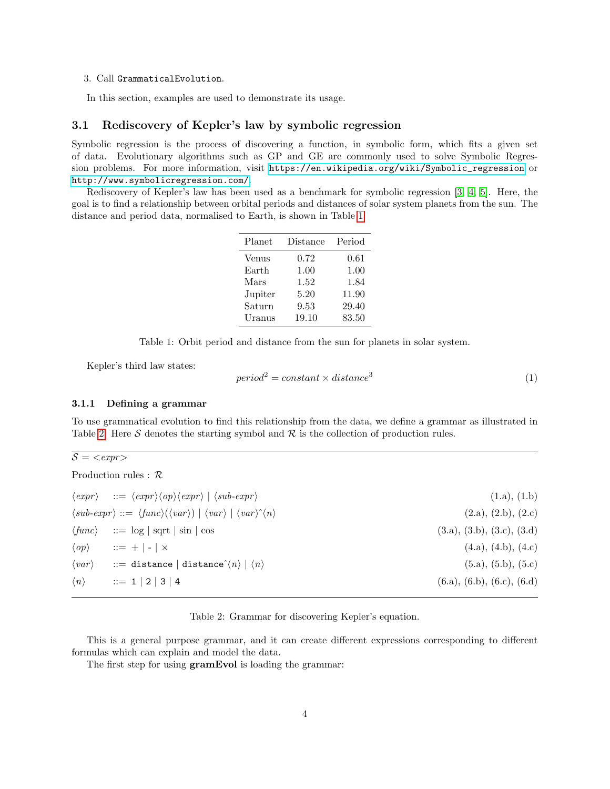#### 3. Call GrammaticalEvolution.

In this section, examples are used to demonstrate its usage.

### 3.1 Rediscovery of Kepler's law by symbolic regression

Symbolic regression is the process of discovering a function, in symbolic form, which fits a given set of data. Evolutionary algorithms such as GP and GE are commonly used to solve Symbolic Regression problems. For more information, visit [https://en.wikipedia.org/wiki/Symbolic\\_regression](https://en.wikipedia.org/wiki/Symbolic_regression) or <http://www.symbolicregression.com/>.

Rediscovery of Kepler's law has been used as a benchmark for symbolic regression [\[3,](#page-16-2) [4,](#page-16-3) [5\]](#page-16-4). Here, the goal is to find a relationship between orbital periods and distances of solar system planets from the sun. The distance and period data, normalised to Earth, is shown in Table [1.](#page-3-0)

| Planet  | Distance | Period |
|---------|----------|--------|
| Venus   | 0.72     | 0.61   |
| Earth   | 1.00     | 1.00   |
| Mars    | 1.52     | 1.84   |
| Jupiter | 5.20     | 11.90  |
| Saturn  | 9.53     | 29.40  |
| Uranus  | 19.10    | 83.50  |

<span id="page-3-0"></span>Table 1: Orbit period and distance from the sun for planets in solar system.

Kepler's third law states:

$$
period2 = constant \times distance3
$$
 (1)

#### 3.1.1 Defining a grammar

To use grammatical evolution to find this relationship from the data, we define a grammar as illustrated in Table [2.](#page-3-1) Here S denotes the starting symbol and  $\mathcal R$  is the collection of production rules.

 $\mathcal{S} = \textit{}$ 

| Production rules : $\mathcal{R}$ |  |  |
|----------------------------------|--|--|
|                                  |  |  |

| $\langle expr \rangle$ ::= $\langle expr \rangle \langle op \rangle \langle expr \rangle$   $\langle sub-expr \rangle$        | (1.a), (1.b)               |
|-------------------------------------------------------------------------------------------------------------------------------|----------------------------|
| $\langle sub-expr \rangle ::= \langle func \rangle (\langle var \rangle)   \langle var \rangle   \langle var \rangle \rangle$ | (2.a), (2.b), (2.c)        |
| $\langle \text{func} \rangle$ ::= $\log  \text{sqrt} \sin  \cos$                                                              | (3.a), (3.b), (3.c), (3.d) |
| $\langle op \rangle$ ::= +   -   $\times$                                                                                     | (4.a), (4.b), (4.c)        |
| $\langle var \rangle$ ::= distance distance $\langle n \rangle   \langle n \rangle$                                           | (5.a), (5.b), (5.c)        |
| $\langle n \rangle$ ::= 1   2   3   4                                                                                         | (6.a), (6.b), (6.c), (6.d) |

#### <span id="page-3-1"></span>Table 2: Grammar for discovering Kepler's equation.

This is a general purpose grammar, and it can create different expressions corresponding to different formulas which can explain and model the data.

The first step for using **gramEvol** is loading the grammar: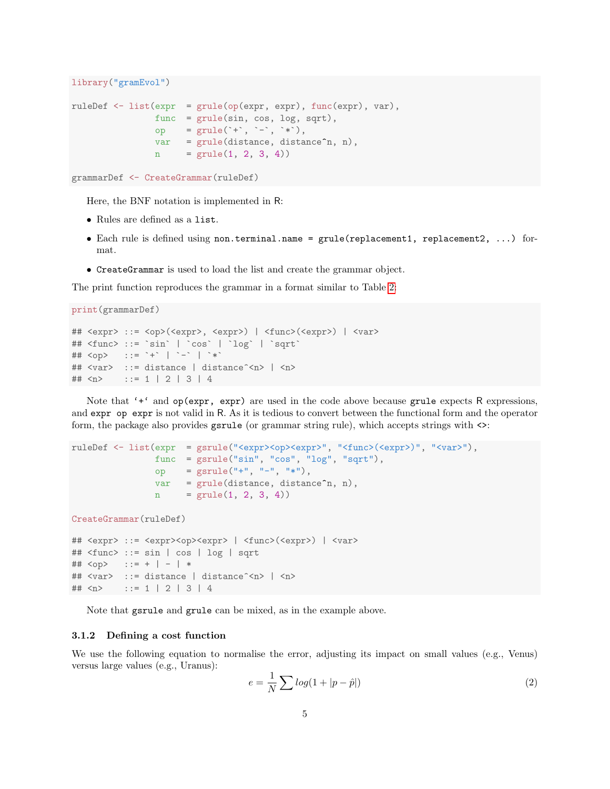```
library("gramEvol")
ruleDef <- list(expr = grule(op(expr, expr), func(expr), var),
                func = grule(sin, cos, log, sqrt),op = grule('+', '-'', '*),
                var = grule(distance, distance<sup>n</sup>, n),n = \text{grule}(1, 2, 3, 4))
```

```
grammarDef <- CreateGrammar(ruleDef)
```
Here, the BNF notation is implemented in R:

- Rules are defined as a list.
- Each rule is defined using non.terminal.name =  $grule(replacement1, replacement2, ...)$  format.
- CreateGrammar is used to load the list and create the grammar object.

The print function reproduces the grammar in a format similar to Table [2:](#page-3-1)

```
print(grammarDef)
```

```
## <expr> ::= <op>(<expr>, <expr>) | <func>(<expr>) | <var>
## <func> ::= `sin` | `cos` | `log` | `sqrt`
## <op> ::= `+` | `-` | `*`
## <var> ::= distance | distance^<n> | <n>
## \langle n \rangle ::= 1 | 2 | 3 | 4
```
Note that '<sup>+'</sup> and  $op(exp, expr)$  are used in the code above because grule expects R expressions, and expr op expr is not valid in R. As it is tedious to convert between the functional form and the operator form, the package also provides gsrule (or grammar string rule), which accepts strings with <>:

```
ruleDef <- list(expr = gsrule("<expr><op><expr>", "<func>(<expr>)", "<var>"),
               func = gsrule("sin", "cos", "log", "sqrt"),
               op = gsrule("+", "-", "*"),
               var = grule(distance, distance^n, n),n = \text{grule}(1, 2, 3, 4))
```
CreateGrammar(ruleDef)

```
## <expr> ::= <expr><op><expr> | <func>(<expr>) | <var>
## <func> ::= sin | cos | log | sqrt
## \langleop> ::= + | - | *
## <var> ::= distance | distance^<n> | <n>
## \langle n \rangle ::= 1 | 2 | 3 | 4
```
Note that gsrule and grule can be mixed, as in the example above.

#### 3.1.2 Defining a cost function

We use the following equation to normalise the error, adjusting its impact on small values (e.g., Venus) versus large values (e.g., Uranus):

<span id="page-4-0"></span>
$$
e = \frac{1}{N} \sum \log(1 + |p - \hat{p}|) \tag{2}
$$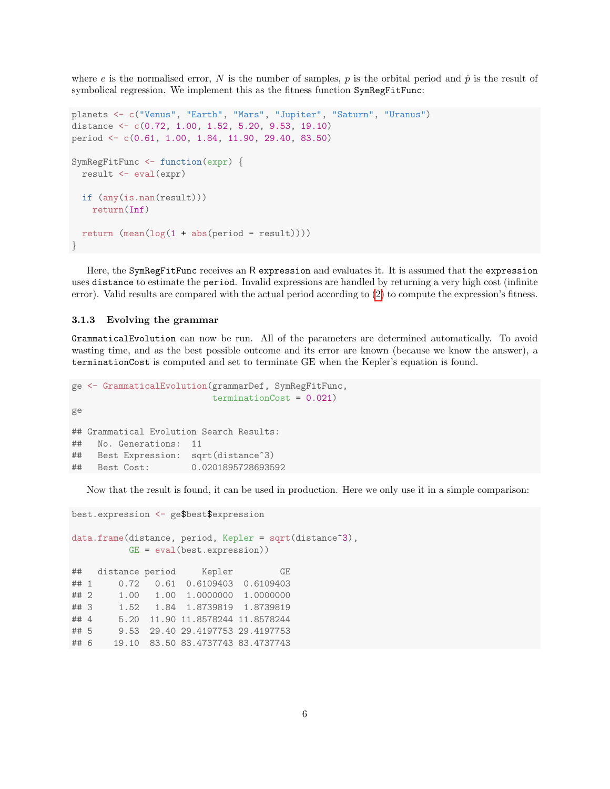where e is the normalised error, N is the number of samples, p is the orbital period and  $\hat{p}$  is the result of symbolical regression. We implement this as the fitness function SymRegFitFunc:

```
planets <- c("Venus", "Earth", "Mars", "Jupiter", "Saturn", "Uranus")
distance <- c(0.72, 1.00, 1.52, 5.20, 9.53, 19.10)
period <- c(0.61, 1.00, 1.84, 11.90, 29.40, 83.50)
SymRegFitFunc <- function(expr) {
 result <- eval(expr)
 if (any(is.nan(result)))
    return(Inf)
  return (\text{mean}(\log(1 + abs(period - result))))}
```
Here, the SymRegFitFunc receives an R expression and evaluates it. It is assumed that the expression uses distance to estimate the period. Invalid expressions are handled by returning a very high cost (infinite error). Valid results are compared with the actual period according to [\(2\)](#page-4-0) to compute the expression's fitness.

#### 3.1.3 Evolving the grammar

GrammaticalEvolution can now be run. All of the parameters are determined automatically. To avoid wasting time, and as the best possible outcome and its error are known (because we know the answer), a terminationCost is computed and set to terminate GE when the Kepler's equation is found.

```
ge <- GrammaticalEvolution(grammarDef, SymRegFitFunc,
                         terminationCost = 0.021)
ge
## Grammatical Evolution Search Results:
## No. Generations: 11
## Best Expression: sqrt(distance^3)
## Best Cost: 0.0201895728693592
```
Now that the result is found, it can be used in production. Here we only use it in a simple comparison:

```
best.expression <- ge$best$expression
data.frame(distance, period, Kepler = sqrt(distance<sup>-3</sup>),
          GE = eval(best.expression))
## distance period Kepler GE
## 1 0.72 0.61 0.6109403 0.6109403
## 2 1.00 1.00 1.0000000 1.0000000
## 3 1.52 1.84 1.8739819 1.8739819
## 4 5.20 11.90 11.8578244 11.8578244
## 5 9.53 29.40 29.4197753 29.4197753
## 6 19.10 83.50 83.4737743 83.4737743
```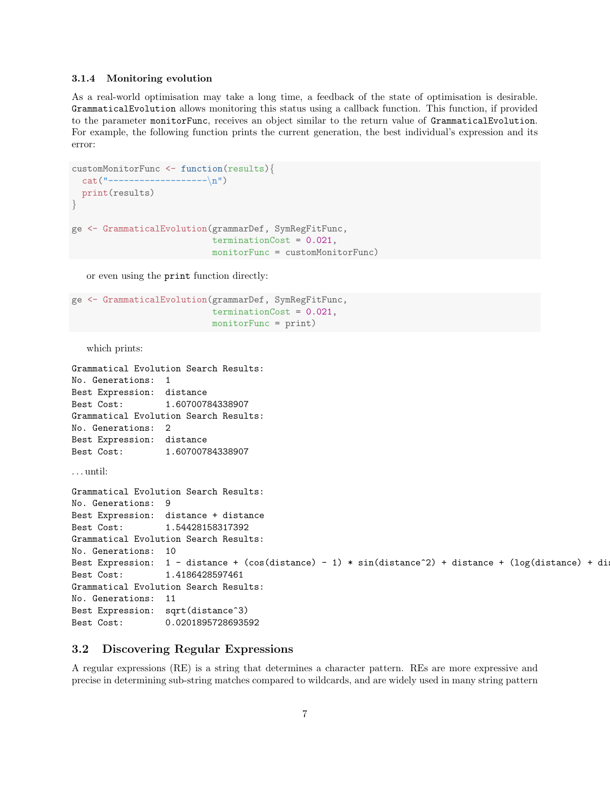#### 3.1.4 Monitoring evolution

As a real-world optimisation may take a long time, a feedback of the state of optimisation is desirable. GrammaticalEvolution allows monitoring this status using a callback function. This function, if provided to the parameter monitorFunc, receives an object similar to the return value of GrammaticalEvolution. For example, the following function prints the current generation, the best individual's expression and its error:

```
customMonitorFunc <- function(results){
 cat("---------------------\n")
  print(results)
}
ge <- GrammaticalEvolution(grammarDef, SymRegFitFunc,
                           terminationCost = 0.021,
                            monitorFunc = customMonitorFunc)
```
or even using the print function directly:

```
ge <- GrammaticalEvolution(grammarDef, SymRegFitFunc,
                           terminationCost = 0.021,
                           monitorFunc = print)
```
which prints:

```
Grammatical Evolution Search Results:
No. Generations: 1
Best Expression: distance
Best Cost: 1.60700784338907
Grammatical Evolution Search Results:
No. Generations: 2
Best Expression: distance
Best Cost: 1.60700784338907
. . . until:
Grammatical Evolution Search Results:
No. Generations: 9
Best Expression: distance + distance
Best Cost: 1.54428158317392
Grammatical Evolution Search Results:
No. Generations: 10
Best Expression: 1 - distance + (cos(distance) - 1) * sin(distance<sup>2</sup>) + distance + (log(distance) + di
Best Cost: 1.4186428597461
Grammatical Evolution Search Results:
No. Generations: 11
Best Expression: sqrt(distance^3)
Best Cost: 0.0201895728693592
```
#### 3.2 Discovering Regular Expressions

A regular expressions (RE) is a string that determines a character pattern. REs are more expressive and precise in determining sub-string matches compared to wildcards, and are widely used in many string pattern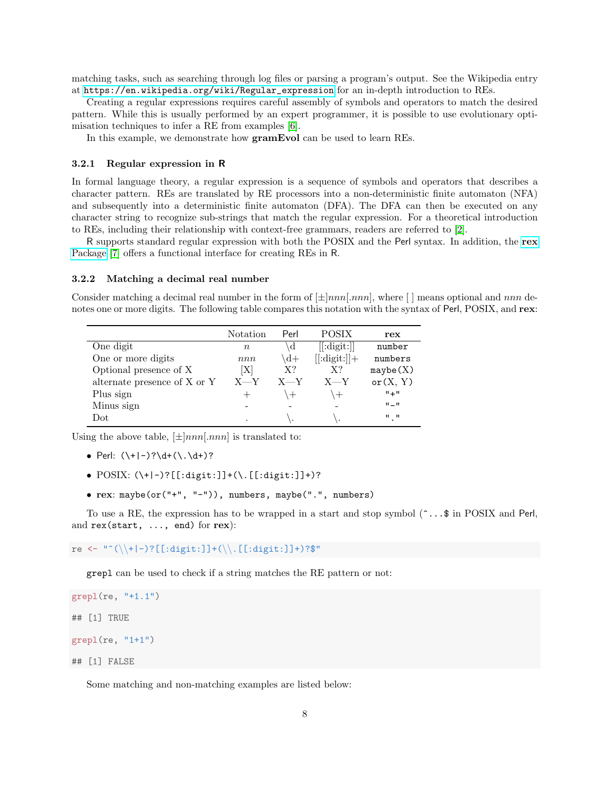matching tasks, such as searching through log files or parsing a program's output. See the Wikipedia entry at [https://en.wikipedia.org/wiki/Regular\\_expression](https://en.wikipedia.org/wiki/Regular_expression) for an in-depth introduction to REs.

Creating a regular expressions requires careful assembly of symbols and operators to match the desired pattern. While this is usually performed by an expert programmer, it is possible to use evolutionary optimisation techniques to infer a RE from examples [\[6\]](#page-16-5).

In this example, we demonstrate how gramEvol can be used to learn REs.

#### <span id="page-7-0"></span>3.2.1 Regular expression in R

In formal language theory, a regular expression is a sequence of symbols and operators that describes a character pattern. REs are translated by RE processors into a non-deterministic finite automaton (NFA) and subsequently into a deterministic finite automaton (DFA). The DFA can then be executed on any character string to recognize sub-strings that match the regular expression. For a theoretical introduction to REs, including their relationship with context-free grammars, readers are referred to [\[2\]](#page-16-1).

R supports standard regular expression with both the POSIX and the Perl syntax. In addition, the [rex](https://github.com/kevinushey/rex) [Package](https://github.com/kevinushey/rex) [\[7\]](#page-16-6) offers a functional interface for creating REs in R.

#### 3.2.2 Matching a decimal real number

Consider matching a decimal real number in the form of  $[\pm]nnn[nnn]$ , where  $[ \ ]$  means optional and nnn denotes one or more digits. The following table compares this notation with the syntax of Perl, POSIX, and rex:

|                              | Notation         | Perl    | POSIX          | ${\bf rex}$               |
|------------------------------|------------------|---------|----------------|---------------------------|
| One digit                    | $\boldsymbol{n}$ | d,      | [[:digit:]]    | number                    |
| One or more digits           | nnn              | $+d+$   | $[[:digit:]]+$ | numbers                   |
| Optional presence of X       | ΙX               | $X$ ?   | $X$ ?          | mxybe(X)                  |
| alternate presence of X or Y | $X - Y$          | $X - Y$ | $X - Y$        | or(X, Y)                  |
| Plus sign                    |                  | $^{+}$  | $\pm$          | $" +"$                    |
| Minus sign                   |                  |         |                | $\Pi = \Pi$               |
| $_{\rm Dot}$                 |                  |         |                | $\mathbf{u}$ $\mathbf{u}$ |

Using the above table,  $[\pm]nnn[.nnn]$  is translated to:

- Perl:  $(\n+|-)?\ddot{\wedge}\ddot{\wedge}\ddot{\wedge}\ddot{\wedge})?$
- POSIX: (\+|-)?[[:digit:]]+(\.[[:digit:]]+)?
- rex: maybe(or("+", "-")), numbers, maybe(".", numbers)

To use a RE, the expression has to be wrapped in a start and stop symbol  $(\hat{\cdot} \dots \hat{\cdot})$  in POSIX and Perl, and rex(start, ..., end) for rex):

re <- "^(\\+|-)?[[:digit:]]+(\\.[[:digit:]]+)?\$"

grepl can be used to check if a string matches the RE pattern or not:

```
graph(re, "+1.1")## [1] TRUE
grepl(re, "1+1")
## [1] FALSE
```
Some matching and non-matching examples are listed below: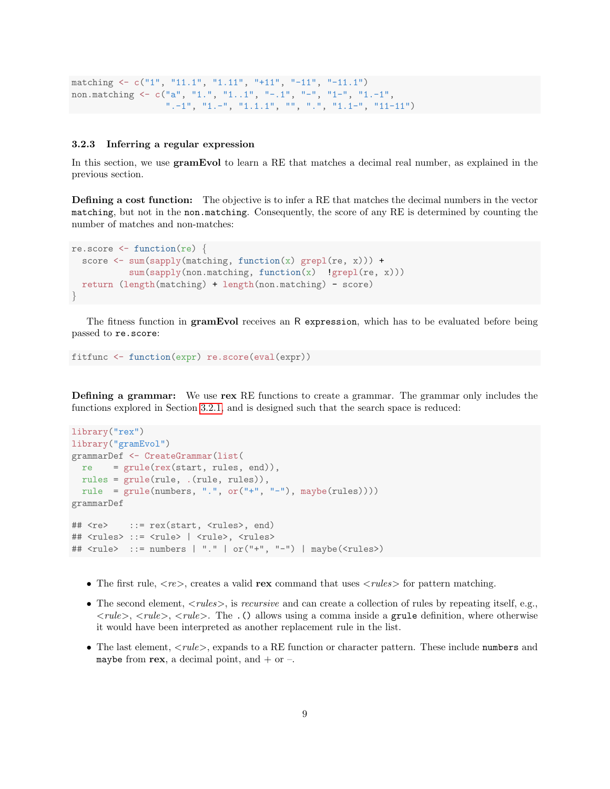```
matching <- c("1", "11.1", "1.11", "+11", "-11", "-11.1")
non.matching \leq c("a", "1.", "1..1", "-.1", "-", "1-", "1.-1",
                  ".-1", "1.-", "1.1.1", "", ".", "1.1-", "11-11")
```
#### 3.2.3 Inferring a regular expression

In this section, we use gramEvol to learn a RE that matches a decimal real number, as explained in the previous section.

Defining a cost function: The objective is to infer a RE that matches the decimal numbers in the vector matching, but not in the non.matching. Consequently, the score of any RE is determined by counting the number of matches and non-matches:

```
re.score \leq function(re) {
 score \leq sum(sapply(matching, function(x) grepl(re, x))) +
           sum(sapply(non.matching, function(x) |green(re, x)))return (length(matching) + length(non.matching) - score)
}
```
The fitness function in **gramEvol** receives an R expression, which has to be evaluated before being passed to re.score:

```
fitfunc <- function(expr) re.score(eval(expr))
```
Defining a grammar: We use rex RE functions to create a grammar. The grammar only includes the functions explored in Section [3.2.1,](#page-7-0) and is designed such that the search space is reduced:

```
library("rex")
library("gramEvol")
grammarDef <- CreateGrammar(list(
  re = grule(rex(start, rules, end)),rules = grule(rule, .(rule, rules)),
 rule = grule(numbers, "." , or ("+", "-"), maybe(rules))))grammarDef
## <re> ::= rex(start, <rules>, end)
## <rules> ::= <rule> | <rule>, <rules>
## \langle \text{rule} \rangle ::= numbers | "." | or("+", "-") | maybe(\langle \text{rules} \rangle)
```
- The first rule,  $\langle re \rangle$ , creates a valid rex command that uses  $\langle rules \rangle$  for pattern matching.
- The second element,  $\langle \neg \textit{rules} \rangle$ , is recursive and can create a collection of rules by repeating itself, e.g.,  $\langle rule \rangle$ ,  $\langle rule \rangle$ ,  $\langle rule \rangle$ . The .() allows using a comma inside a grule definition, where otherwise it would have been interpreted as another replacement rule in the list.
- The last element,  $\langle rule \rangle$ , expands to a RE function or character pattern. These include numbers and maybe from rex, a decimal point, and  $+$  or  $-$ .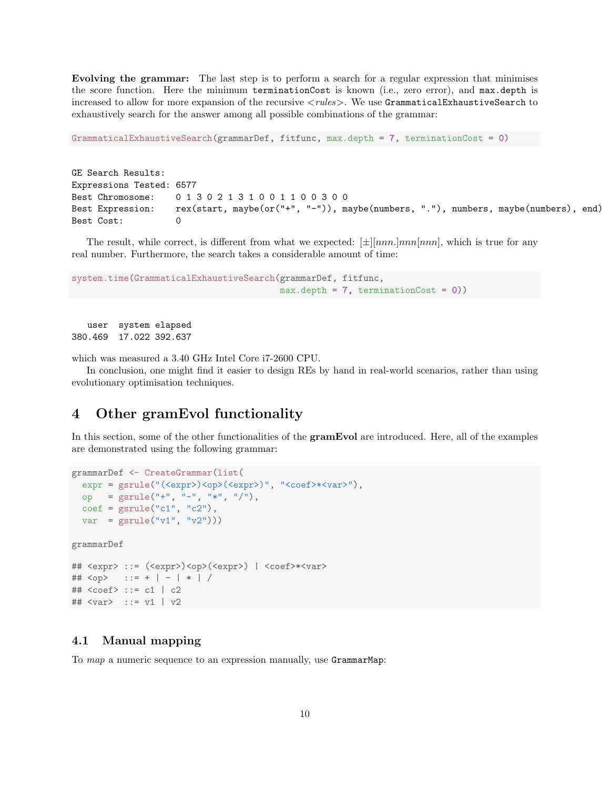Evolving the grammar: The last step is to perform a search for a regular expression that minimises the score function. Here the minimum terminationCost is known (i.e., zero error), and max.depth is increased to allow for more expansion of the recursive  $\langle rules \rangle$ . We use GrammaticalExhaustiveSearch to exhaustively search for the answer among all possible combinations of the grammar:

GrammaticalExhaustiveSearch(grammarDef, fitfunc, max.depth = 7, terminationCost = 0)

GE Search Results: Expressions Tested: 6577 Best Chromosome: 0 1 3 0 2 1 3 1 0 0 1 1 0 0 3 0 0 Best Expression: rex(start, maybe(or("+", "-")), maybe(numbers, "."), numbers, maybe(numbers), end) Best Cost:

The result, while correct, is different from what we expected:  $[\pm][nnn]$ , which is true for any real number. Furthermore, the search takes a considerable amount of time:

```
system.time(GrammaticalExhaustiveSearch(grammarDef, fitfunc,
                                        max.depth = 7, terminationCost = 0))
```
user system elapsed 380.469 17.022 392.637

which was measured a 3.40 GHz Intel Core i7-2600 CPU.

In conclusion, one might find it easier to design REs by hand in real-world scenarios, rather than using evolutionary optimisation techniques.

## 4 Other gramEvol functionality

In this section, some of the other functionalities of the **gramEvol** are introduced. Here, all of the examples are demonstrated using the following grammar:

```
grammarDef <- CreateGrammar(list(
  expr = gsrule("(<expr>)<op>(<expr>)", "<coef>*<var>"),
 op = gsrule("+", "-", "*", "/"),
 \text{coef} = \text{grule}("c1", "c2"),
  var = gsrule("v1", "v2"))grammarDef
## <expr> ::= (<expr>)<op>(<expr>) | <coef>*<var>
## <op> ::= + | - | * | /
## <coef> ::= c1 | c2
## <var> ::= v1 | v2
```
## 4.1 Manual mapping

To *map* a numeric sequence to an expression manually, use GrammarMap: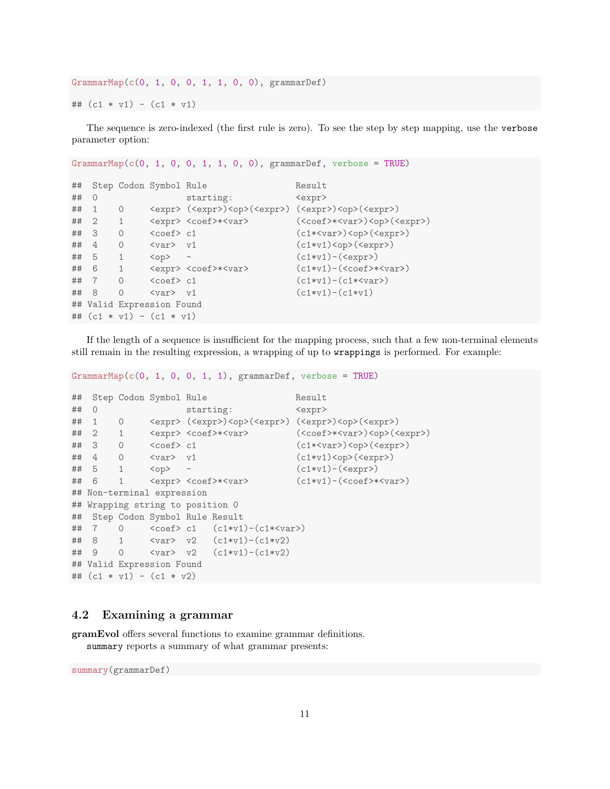GrammarMap(c(0, 1, 0, 0, 1, 1, 0, 0), grammarDef) ##  $(c1 * v1) - (c1 * v1)$ 

The sequence is zero-indexed (the first rule is zero). To see the step by step mapping, use the verbose parameter option:

```
GrammarMap(c(0, 1, 0, 0, 1, 1, 0, 0), grammarDef, verbose = TRUE)## Step Codon Symbol Rule Result
## 0 starting: <expr>
## 1 0 <expr> (<expr>)<op>(<expr>) (<expr>)<op>(<expr>)
## 2 1 <expr> <coef>*<var> (<coef>*<var>)<op>(<expr>)
## 3 0 <coef> c1 (c1*<var>)<op>(<expr>)
\# 4 0 <var> v1 (c1*v1)<op>(<expr>)
## 5 1 <op> - (c1*v1)-(<expr>)
\frac{m}{\sqrt{m}} 6 1 \langle \text{expr} \rangle \langle \text{coeff} \rangle \langle \text{coeff} \rangle (c1+v1) \langle \text{coeff} \rangle \langle \text{coeff} \rangle\# 7 0 < coef> c1 (c1*v1)-(c1*<var>)
## 8 0 <var> v1 (c1*v1)-(c1*v1)
## Valid Expression Found
## (c1 * v1) - (c1 * v1)
```
If the length of a sequence is insufficient for the mapping process, such that a few non-terminal elements still remain in the resulting expression, a wrapping of up to wrappings is performed. For example:

 $GrammarMap(c(0, 1, 0, 0, 1, 1), grammarDef, verbose = TRUE)$ 

```
## Step Codon Symbol Rule Result
## 0 starting: <expr>
## 1 0 <expr> (<expr>)<op>(<expr>) (<expr>)<op>(<expr>)
## 2 1 <expr> <coef>*<var> (<coef>*<var>)<op>(<expr>)
## 3 0 <coef> c1 (c1*<var>)<op>(<expr>)
## 4 0 <var> v1 (c1*v1)<op>(<expr>)
## 5 1 <op> - (c1*v1)-(<expr>)
## 6 1 <expr> <coef>*<var> (c1*v1)-(<coef>*<var>)
## Non-terminal expression
## Wrapping string to position 0
## Step Codon Symbol Rule Result
## 7 0 < coef> c1 (c1*vt)-(c1*<var>)## 8 1 <var> v2 (c1*v1)-(c1*v2)
## 9 0 <var> v2 (c1*v1)-(c1*v2)
## Valid Expression Found
## (c1 * v1) - (c1 * v2)
```
### 4.2 Examining a grammar

gramEvol offers several functions to examine grammar definitions. summary reports a summary of what grammar presents:

summary(grammarDef)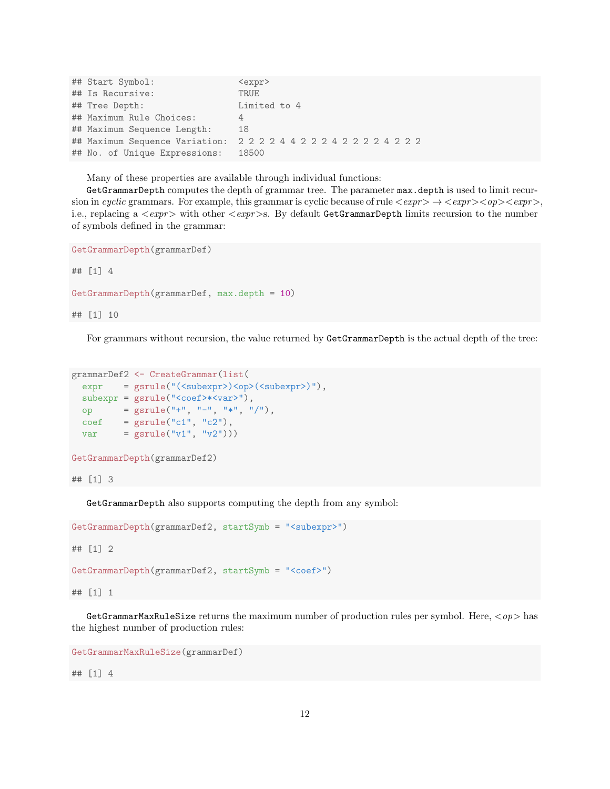| ## Start Symbol:              | <expr></expr>                                     |
|-------------------------------|---------------------------------------------------|
| ## Is Recursive:              | TRUE                                              |
| ## Tree Depth:                | Limited to 4                                      |
| ## Maximum Rule Choices:      | 4                                                 |
| ## Maximum Sequence Length:   | 18                                                |
|                               | ## Maximum Sequence Variation: 222244222422224222 |
| ## No. of Unique Expressions: | 18500                                             |

Many of these properties are available through individual functions:

GetGrammarDepth computes the depth of grammar tree. The parameter max.depth is used to limit recursion in cyclic grammars. For example, this grammar is cyclic because of rule  $\langle \textit{expr}\rangle \rightarrow \langle \textit{expr}\rangle \langle \textit{opp}\rangle \langle \textit{expr}\rangle$ , i.e., replacing a  $\langle \text{expr}\rangle$  with other  $\langle \text{expr}\rangle$ s. By default GetGrammarDepth limits recursion to the number of symbols defined in the grammar:

```
GetGrammarDepth(grammarDef)
```
## [1] 4

```
GetGrammarDepth(grammarDef, max.depth = 10)
```
## [1] 10

For grammars without recursion, the value returned by GetGrammarDepth is the actual depth of the tree:

```
grammarDef2 <- CreateGrammar(list(
  expr = gsrule("({\langle subexpr \rangle}) {\langle op \rangle}({\langle subexpr \rangle})"),
  subexpr = gsrule("<coef>*<var>"),
  op = gsrule("+", "-", "*", "/"),
  \text{coeff} = \text{grule}("c1", "c2"),
  var = g\text{grule}("v1", "v2"))
```
GetGrammarDepth(grammarDef2)

## [1] 3

GetGrammarDepth also supports computing the depth from any symbol:

```
GetGrammarDepth(grammarDef2, startSymb = "<subexpr>")
```
## [1] 2

```
GetGrammarDepth(grammarDef2, startSymb = "<coef>")
```
## [1] 1

GetGrammarMaxRuleSize returns the maximum number of production rules per symbol. Here,  $\langle op \rangle$  has the highest number of production rules:

GetGrammarMaxRuleSize(grammarDef)

## [1] 4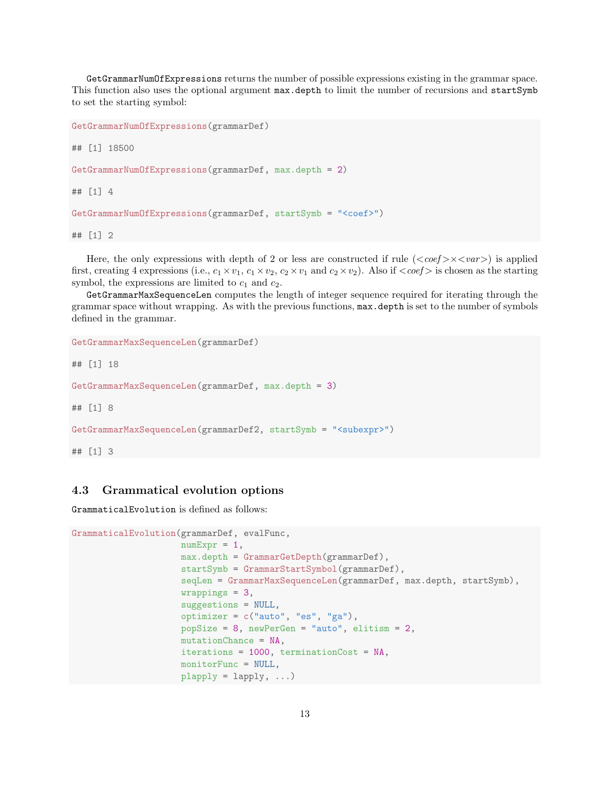GetGrammarNumOfExpressions returns the number of possible expressions existing in the grammar space. This function also uses the optional argument max.depth to limit the number of recursions and startSymb to set the starting symbol:

```
GetGrammarNumOfExpressions(grammarDef)
## [1] 18500
GetGrammarNumOfExpressions(grammarDef, max.depth = 2)
## [1] 4
GetGrammarNumOfExpressions(grammarDef, startSymb = "<coef>")
```
## [1] 2

Here, the only expressions with depth of 2 or less are constructed if rule  $(<\text{coeff}>x<\text{var}>)$  is applied first, creating 4 expressions (i.e.,  $c_1 \times v_1$ ,  $c_1 \times v_2$ ,  $c_2 \times v_1$  and  $c_2 \times v_2$ ). Also if  $\langle \text{coef} \rangle$  is chosen as the starting symbol, the expressions are limited to  $c_1$  and  $c_2$ .

GetGrammarMaxSequenceLen computes the length of integer sequence required for iterating through the grammar space without wrapping. As with the previous functions, max.depth is set to the number of symbols defined in the grammar.

```
GetGrammarMaxSequenceLen(grammarDef)
```
## [1] 18

```
GetGrammarMaxSequenceLen(grammarDef, max.depth = 3)
```
## [1] 8

```
GetGrammarMaxSequenceLen(grammarDef2, startSymb = "<subexpr>")
```
## [1] 3

## 4.3 Grammatical evolution options

GrammaticalEvolution is defined as follows:

```
GrammaticalEvolution(grammarDef, evalFunc,
                     numExpr = 1,
                     max.depth = GrammarGetDepth(grammarDef),
                     startSymb = GrammarStartSymbol(grammarDef),
                     seqLen = GrammarMaxSequenceLen(grammarDef, max.depth, startSymb),
                     wrappings = 3,suggestions = NULL,
                     optimizer = c("auto", "es", "ga"),
                     popSize = 8, newPerGen = "auto", elitism = 2,
                     mutationChance = NA,
                     iterations = 1000, terminationCost = NA,
                     monitorFunc = NULL,
                     plapply = lapply, ...
```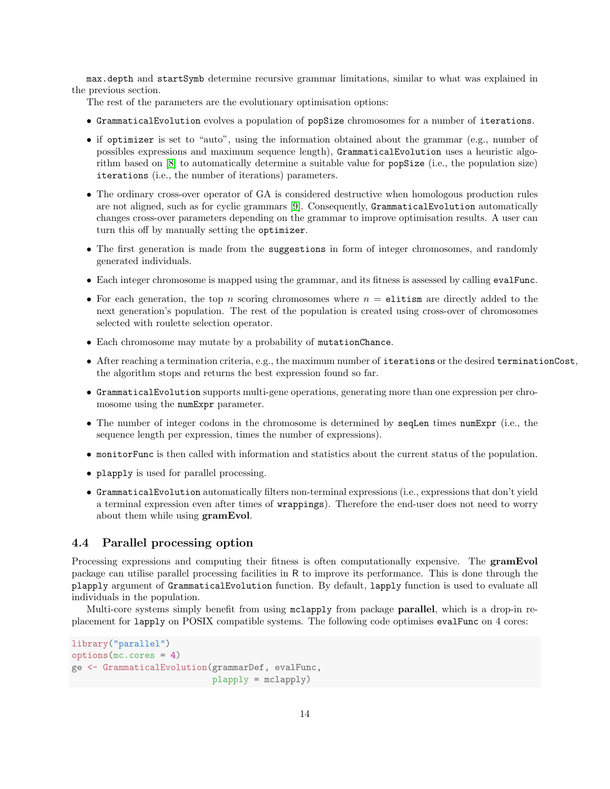max.depth and startSymb determine recursive grammar limitations, similar to what was explained in the previous section.

The rest of the parameters are the evolutionary optimisation options:

- GrammaticalEvolution evolves a population of popSize chromosomes for a number of iterations.
- if optimizer is set to "auto", using the information obtained about the grammar (e.g., number of possibles expressions and maximum sequence length), GrammaticalEvolution uses a heuristic algorithm based on [\[8\]](#page-16-7) to automatically determine a suitable value for popSize (i.e., the population size) iterations (i.e., the number of iterations) parameters.
- The ordinary cross-over operator of GA is considered destructive when homologous production rules are not aligned, such as for cyclic grammars [\[9\]](#page-16-8). Consequently, GrammaticalEvolution automatically changes cross-over parameters depending on the grammar to improve optimisation results. A user can turn this off by manually setting the optimizer.
- The first generation is made from the suggestions in form of integer chromosomes, and randomly generated individuals.
- Each integer chromosome is mapped using the grammar, and its fitness is assessed by calling evalFunc.
- For each generation, the top n scoring chromosomes where  $n =$  elitism are directly added to the next generation's population. The rest of the population is created using cross-over of chromosomes selected with roulette selection operator.
- Each chromosome may mutate by a probability of mutationChance.
- After reaching a termination criteria, e.g., the maximum number of iterations or the desired terminationCost, the algorithm stops and returns the best expression found so far.
- GrammaticalEvolution supports multi-gene operations, generating more than one expression per chromosome using the numExpr parameter.
- The number of integer codons in the chromosome is determined by seqLen times numExpr (i.e., the sequence length per expression, times the number of expressions).
- monitorFunc is then called with information and statistics about the current status of the population.
- plapply is used for parallel processing.
- GrammaticalEvolution automatically filters non-terminal expressions (i.e., expressions that don't yield a terminal expression even after times of wrappings). Therefore the end-user does not need to worry about them while using gramEvol.

### 4.4 Parallel processing option

Processing expressions and computing their fitness is often computationally expensive. The **gramEvol** package can utilise parallel processing facilities in R to improve its performance. This is done through the plapply argument of GrammaticalEvolution function. By default, lapply function is used to evaluate all individuals in the population.

Multi-core systems simply benefit from using mclapply from package **parallel**, which is a drop-in replacement for lapply on POSIX compatible systems. The following code optimises evalFunc on 4 cores:

```
library("parallel")
options(mc.cores = 4)
ge <- GrammaticalEvolution(grammarDef, evalFunc,
                           plapply = mclapply)
```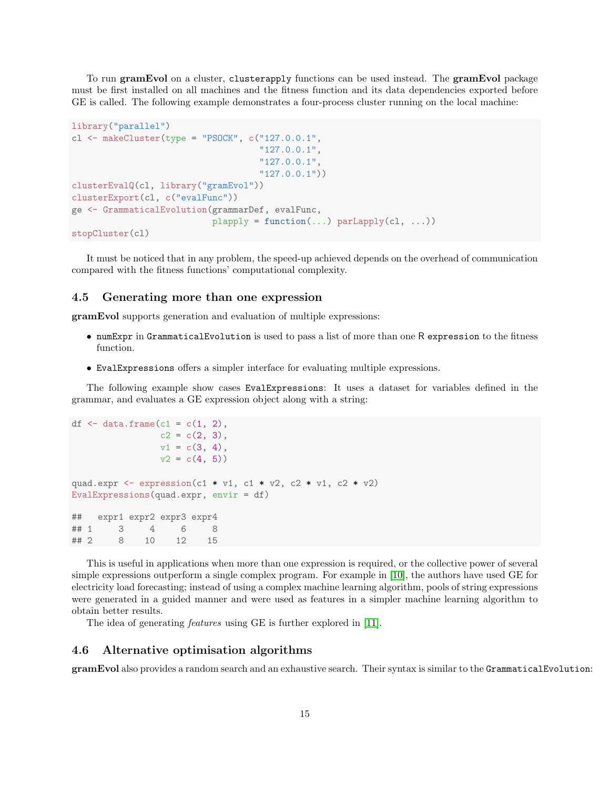To run gramEvol on a cluster, clusterapply functions can be used instead. The gramEvol package must be first installed on all machines and the fitness function and its data dependencies exported before GE is called. The following example demonstrates a four-process cluster running on the local machine:

```
library("parallel")
cl \leq makeCluster(type = "PSOCK", c("127.0.0.1",
                                    "127.0.0.1",
                                     "127.0.0.1",
                                     "127.0.0.1"))
clusterEvalQ(cl, library("gramEvol"))
clusterExport(cl, c("evalFunc"))
ge <- GrammaticalEvolution(grammarDef, evalFunc,
                           plapply = function(...) parLapply(cl, ...)stopCluster(cl)
```
It must be noticed that in any problem, the speed-up achieved depends on the overhead of communication compared with the fitness functions' computational complexity.

#### 4.5 Generating more than one expression

gramEvol supports generation and evaluation of multiple expressions:

- numExpr in GrammaticalEvolution is used to pass a list of more than one R expression to the fitness function.
- EvalExpressions offers a simpler interface for evaluating multiple expressions.

The following example show cases EvalExpressions: It uses a dataset for variables defined in the grammar, and evaluates a GE expression object along with a string:

```
df \leq data.frame(c1 = c(1, 2),
               c2 = c(2, 3),v1 = c(3, 4),
               v2 = c(4, 5)quad.expr \leq expression(c1 * v1, c1 * v2, c2 * v1, c2 * v2)
EvalExpressions(quad.expr, envir = df)
## expr1 expr2 expr3 expr4
## 1 3 4 6 8
## 2 8 10 12 15
```
This is useful in applications when more than one expression is required, or the collective power of several simple expressions outperform a single complex program. For example in [\[10\]](#page-17-0), the authors have used GE for electricity load forecasting; instead of using a complex machine learning algorithm, pools of string expressions were generated in a guided manner and were used as features in a simpler machine learning algorithm to obtain better results.

The idea of generating features using GE is further explored in [\[11\]](#page-17-1).

### 4.6 Alternative optimisation algorithms

gramEvol also provides a random search and an exhaustive search. Their syntax is similar to the GrammaticalEvolution: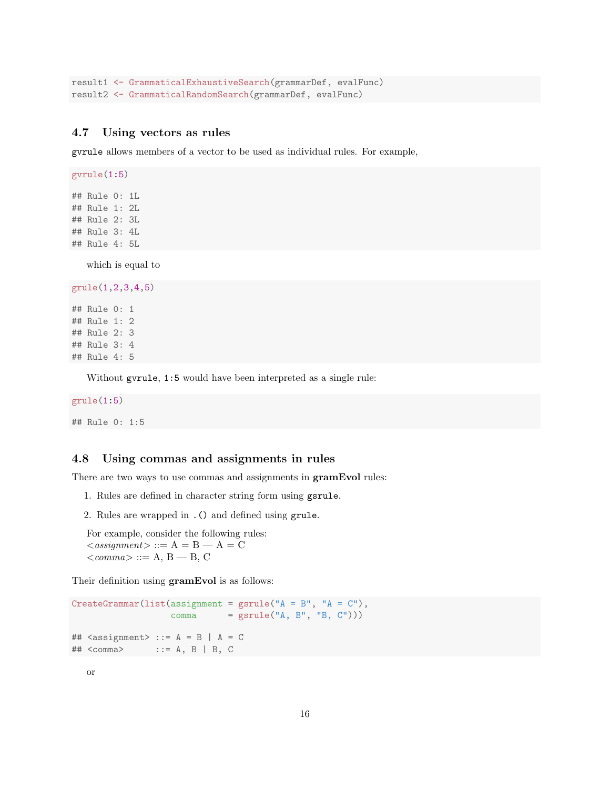```
result1 <- GrammaticalExhaustiveSearch(grammarDef, evalFunc)
result2 <- GrammaticalRandomSearch(grammarDef, evalFunc)
```
## 4.7 Using vectors as rules

gvrule allows members of a vector to be used as individual rules. For example,

gvrule(1:5) ## Rule 0: 1L ## Rule 1: 2L ## Rule 2: 3L ## Rule 3: 4L ## Rule 4: 5L

which is equal to

grule(1,2,3,4,5)

## Rule 0: 1 ## Rule 1: 2 ## Rule 2: 3 ## Rule 3: 4 ## Rule 4: 5

Without gvrule, 1:5 would have been interpreted as a single rule:

### grule(1:5)

## Rule 0: 1:5

### 4.8 Using commas and assignments in rules

There are two ways to use commas and assignments in **gramEvol** rules:

- 1. Rules are defined in character string form using gsrule.
- 2. Rules are wrapped in .() and defined using grule.

For example, consider the following rules:  $\langle \text{assignment} \rangle ::= A = B - A = C$  $\langle comm \rangle ::= A, B - B, C$ 

Their definition using gramEvol is as follows:

```
CreateGrammar(list(assignment = gsrule("A = B", "A = C"),
                    comma = gsrule("A, B", "B, C"))## \langle \text{assignment} \rangle ::= A = B | A = C
## <comma> ::= A, B | B, C
```
or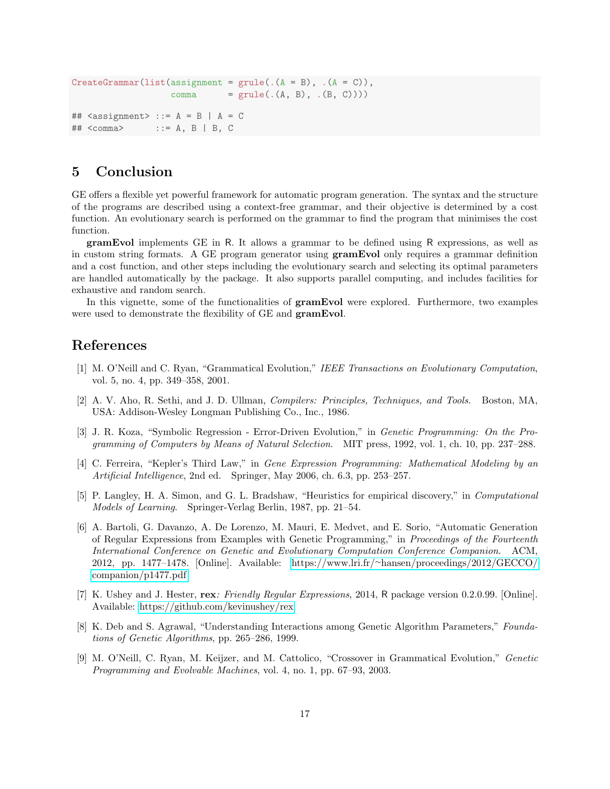```
CreateGrammar(list (assignment = grule(. (A = B), . (A = C)),comma = grule(. (A, B), . (B, C))))## \leq \leq \leq \leq \leq \leq \leq \leq \leq \leq \leq \leq \leq \leq \leq \leq \leq \leq \leq \leq \leq \leq \leq \leq \leq \leq \leq \leq \leq \leq \leq \leq \leq \leq \leq \leq \\## <comma> ::= A, B | B, C
```
## 5 Conclusion

GE offers a flexible yet powerful framework for automatic program generation. The syntax and the structure of the programs are described using a context-free grammar, and their objective is determined by a cost function. An evolutionary search is performed on the grammar to find the program that minimises the cost function.

gramEvol implements GE in R. It allows a grammar to be defined using R expressions, as well as in custom string formats. A GE program generator using gramEvol only requires a grammar definition and a cost function, and other steps including the evolutionary search and selecting its optimal parameters are handled automatically by the package. It also supports parallel computing, and includes facilities for exhaustive and random search.

In this vignette, some of the functionalities of **gramEvol** were explored. Furthermore, two examples were used to demonstrate the flexibility of GE and **gramEvol**.

## References

- <span id="page-16-0"></span>[1] M. O'Neill and C. Ryan, "Grammatical Evolution," IEEE Transactions on Evolutionary Computation, vol. 5, no. 4, pp. 349–358, 2001.
- <span id="page-16-1"></span>[2] A. V. Aho, R. Sethi, and J. D. Ullman, Compilers: Principles, Techniques, and Tools. Boston, MA, USA: Addison-Wesley Longman Publishing Co., Inc., 1986.
- <span id="page-16-2"></span>[3] J. R. Koza, "Symbolic Regression - Error-Driven Evolution," in Genetic Programming: On the Programming of Computers by Means of Natural Selection. MIT press, 1992, vol. 1, ch. 10, pp. 237–288.
- <span id="page-16-3"></span>[4] C. Ferreira, "Kepler's Third Law," in Gene Expression Programming: Mathematical Modeling by an Artificial Intelligence, 2nd ed. Springer, May 2006, ch. 6.3, pp. 253–257.
- <span id="page-16-4"></span>[5] P. Langley, H. A. Simon, and G. L. Bradshaw, "Heuristics for empirical discovery," in Computational Models of Learning. Springer-Verlag Berlin, 1987, pp. 21–54.
- <span id="page-16-5"></span>[6] A. Bartoli, G. Davanzo, A. De Lorenzo, M. Mauri, E. Medvet, and E. Sorio, "Automatic Generation of Regular Expressions from Examples with Genetic Programming," in Proceedings of the Fourteenth International Conference on Genetic and Evolutionary Computation Conference Companion. ACM, 2012, pp. 1477–1478. [Online]. Available: https://www.lri.fr/∼[hansen/proceedings/2012/GECCO/](https://www.lri.fr/~hansen/proceedings/2012/GECCO/companion/p1477.pdf) [companion/p1477.pdf](https://www.lri.fr/~hansen/proceedings/2012/GECCO/companion/p1477.pdf)
- <span id="page-16-6"></span>[7] K. Ushey and J. Hester, rex: Friendly Regular Expressions, 2014, R package version 0.2.0.99. [Online]. Available:<https://github.com/kevinushey/rex>
- <span id="page-16-7"></span>[8] K. Deb and S. Agrawal, "Understanding Interactions among Genetic Algorithm Parameters," Foundations of Genetic Algorithms, pp. 265–286, 1999.
- <span id="page-16-8"></span>[9] M. O'Neill, C. Ryan, M. Keijzer, and M. Cattolico, "Crossover in Grammatical Evolution," Genetic Programming and Evolvable Machines, vol. 4, no. 1, pp. 67–93, 2003.